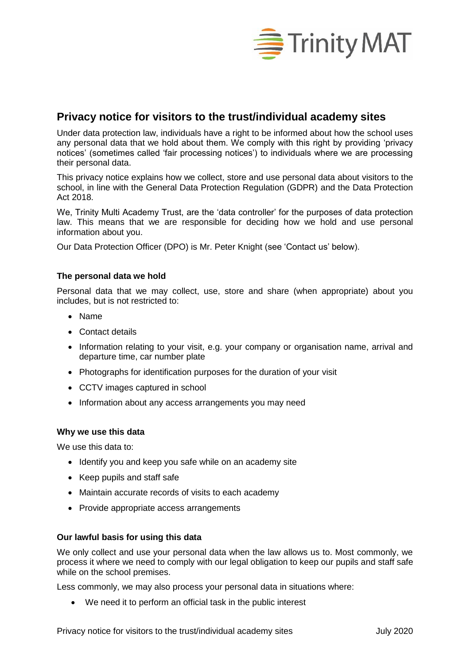

# **Privacy notice for visitors to the trust/individual academy sites**

Under data protection law, individuals have a right to be informed about how the school uses any personal data that we hold about them. We comply with this right by providing 'privacy notices' (sometimes called 'fair processing notices') to individuals where we are processing their personal data.

This privacy notice explains how we collect, store and use personal data about visitors to the school, in line with the General Data Protection Regulation (GDPR) and the Data Protection Act 2018.

We, Trinity Multi Academy Trust, are the 'data controller' for the purposes of data protection law. This means that we are responsible for deciding how we hold and use personal information about you.

Our Data Protection Officer (DPO) is Mr. Peter Knight (see 'Contact us' below).

## **The personal data we hold**

Personal data that we may collect, use, store and share (when appropriate) about you includes, but is not restricted to:

- Name
- Contact details
- Information relating to your visit, e.g. your company or organisation name, arrival and departure time, car number plate
- Photographs for identification purposes for the duration of your visit
- CCTV images captured in school
- Information about any access arrangements you may need

#### **Why we use this data**

We use this data to:

- Identify you and keep you safe while on an academy site
- Keep pupils and staff safe
- Maintain accurate records of visits to each academy
- Provide appropriate access arrangements

#### **Our lawful basis for using this data**

We only collect and use your personal data when the law allows us to. Most commonly, we process it where we need to comply with our legal obligation to keep our pupils and staff safe while on the school premises.

Less commonly, we may also process your personal data in situations where:

We need it to perform an official task in the public interest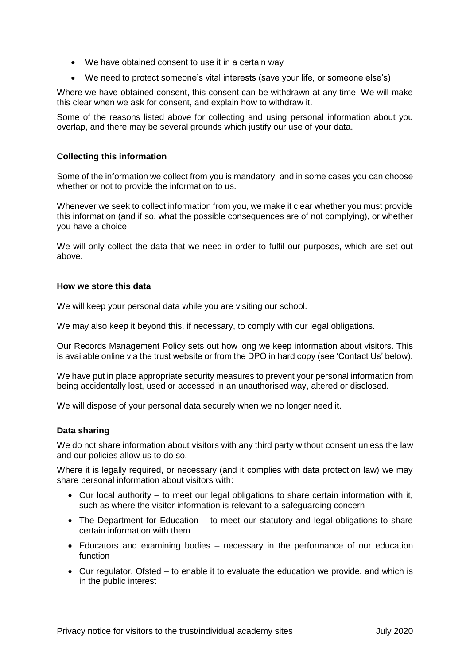- We have obtained consent to use it in a certain way
- We need to protect someone's vital interests (save your life, or someone else's)

Where we have obtained consent, this consent can be withdrawn at any time. We will make this clear when we ask for consent, and explain how to withdraw it.

Some of the reasons listed above for collecting and using personal information about you overlap, and there may be several grounds which justify our use of your data.

### **Collecting this information**

Some of the information we collect from you is mandatory, and in some cases you can choose whether or not to provide the information to us.

Whenever we seek to collect information from you, we make it clear whether you must provide this information (and if so, what the possible consequences are of not complying), or whether you have a choice.

We will only collect the data that we need in order to fulfil our purposes, which are set out above.

#### **How we store this data**

We will keep your personal data while you are visiting our school.

We may also keep it beyond this, if necessary, to comply with our legal obligations.

Our Records Management Policy sets out how long we keep information about visitors. This is available online via the trust website or from the DPO in hard copy (see 'Contact Us' below).

We have put in place appropriate security measures to prevent your personal information from being accidentally lost, used or accessed in an unauthorised way, altered or disclosed.

We will dispose of your personal data securely when we no longer need it.

#### **Data sharing**

We do not share information about visitors with any third party without consent unless the law and our policies allow us to do so.

Where it is legally required, or necessary (and it complies with data protection law) we may share personal information about visitors with:

- Our local authority to meet our legal obligations to share certain information with it, such as where the visitor information is relevant to a safeguarding concern
- The Department for Education to meet our statutory and legal obligations to share certain information with them
- Educators and examining bodies necessary in the performance of our education function
- Our regulator, Ofsted to enable it to evaluate the education we provide, and which is in the public interest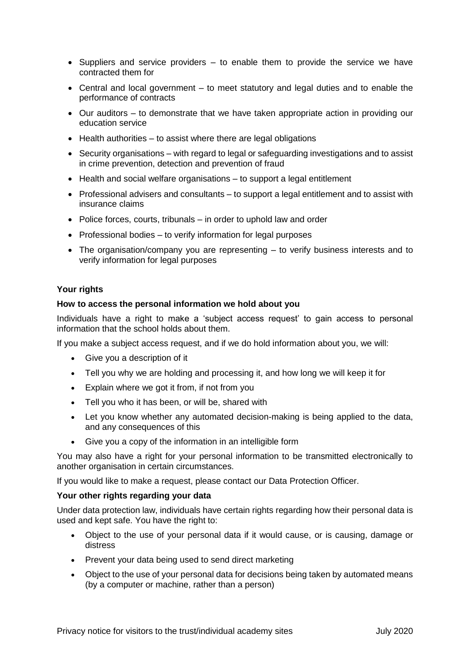- $\bullet$  Suppliers and service providers  $-$  to enable them to provide the service we have contracted them for
- Central and local government to meet statutory and legal duties and to enable the performance of contracts
- Our auditors to demonstrate that we have taken appropriate action in providing our education service
- $\bullet$  Health authorities to assist where there are legal obligations
- Security organisations with regard to legal or safeguarding investigations and to assist in crime prevention, detection and prevention of fraud
- Health and social welfare organisations to support a legal entitlement
- Professional advisers and consultants to support a legal entitlement and to assist with insurance claims
- Police forces, courts, tribunals in order to uphold law and order
- Professional bodies to verify information for legal purposes
- The organisation/company you are representing to verify business interests and to verify information for legal purposes

## **Your rights**

#### **How to access the personal information we hold about you**

Individuals have a right to make a 'subject access request' to gain access to personal information that the school holds about them.

If you make a subject access request, and if we do hold information about you, we will:

- Give you a description of it
- Tell you why we are holding and processing it, and how long we will keep it for
- Explain where we got it from, if not from you
- Tell you who it has been, or will be, shared with
- Let you know whether any automated decision-making is being applied to the data, and any consequences of this
- Give you a copy of the information in an intelligible form

You may also have a right for your personal information to be transmitted electronically to another organisation in certain circumstances.

If you would like to make a request, please contact our Data Protection Officer.

#### **Your other rights regarding your data**

Under data protection law, individuals have certain rights regarding how their personal data is used and kept safe. You have the right to:

- Object to the use of your personal data if it would cause, or is causing, damage or distress
- Prevent your data being used to send direct marketing
- Object to the use of your personal data for decisions being taken by automated means (by a computer or machine, rather than a person)